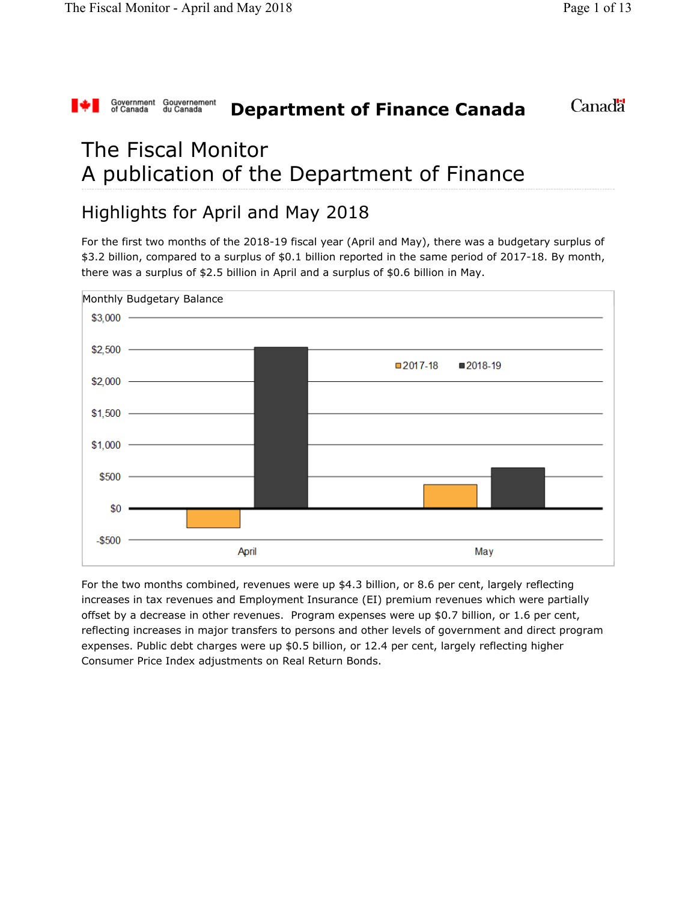#### Government<br>of Canada Gouvernement<br>du Canada **Canada Department of Finance Canada**

# The Fiscal Monitor A publication of the Department of Finance

#### Highlights for April and May 2018

For the first two months of the 2018-19 fiscal year (April and May), there was a budgetary surplus of \$3.2 billion, compared to a surplus of \$0.1 billion reported in the same period of 2017-18. By month, there was a surplus of \$2.5 billion in April and a surplus of \$0.6 billion in May.



For the two months combined, revenues were up \$4.3 billion, or 8.6 per cent, largely reflecting increases in tax revenues and Employment Insurance (EI) premium revenues which were partially offset by a decrease in other revenues. Program expenses were up \$0.7 billion, or 1.6 per cent, reflecting increases in major transfers to persons and other levels of government and direct program expenses. Public debt charges were up \$0.5 billion, or 12.4 per cent, largely reflecting higher Consumer Price Index adjustments on Real Return Bonds.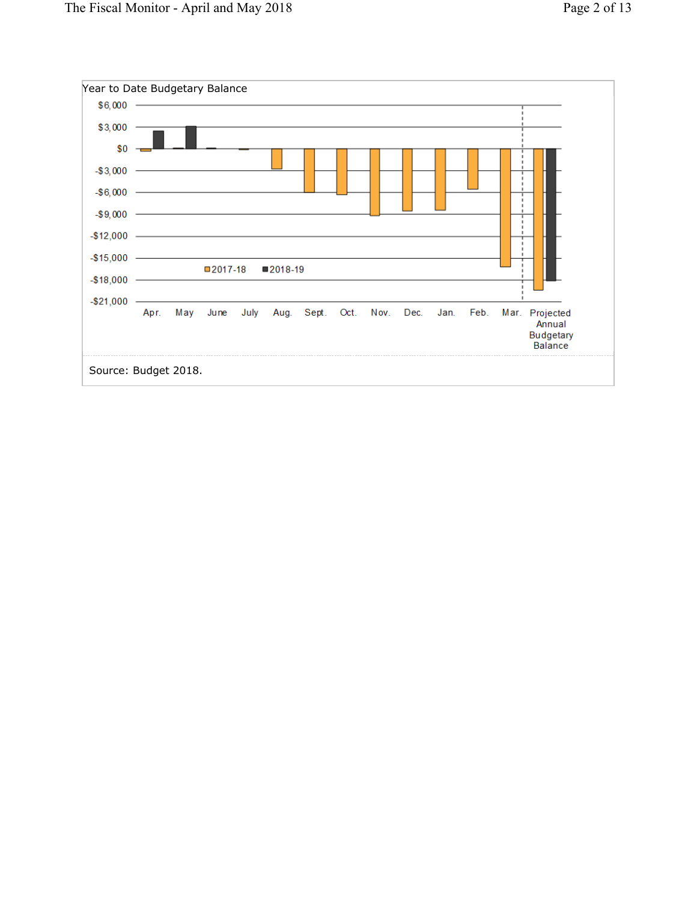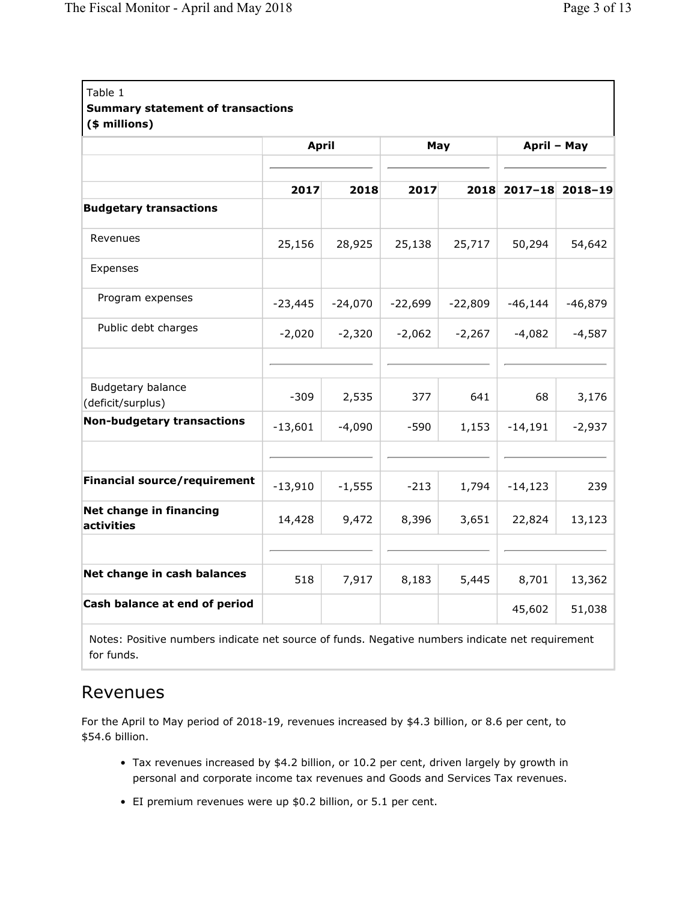| Table 1                                                   |        |              |        |        |                      |             |  |
|-----------------------------------------------------------|--------|--------------|--------|--------|----------------------|-------------|--|
| <b>Summary statement of transactions</b><br>(\$ millions) |        |              |        |        |                      |             |  |
|                                                           |        | <b>April</b> |        | May    |                      | April - May |  |
|                                                           | 2017   | 2018         | 2017   |        | 2018 2017-18 2018-19 |             |  |
| <b>Budgetary transactions</b>                             |        |              |        |        |                      |             |  |
| Revenues                                                  | 25,156 | 28,925       | 25,138 | 25,717 | 50,294               | 54,642      |  |

| Revenues                               | 25,156    | 28,925    | 25,138    | 25,717    | 50,294    | 54,642    |
|----------------------------------------|-----------|-----------|-----------|-----------|-----------|-----------|
| Expenses                               |           |           |           |           |           |           |
| Program expenses                       | $-23,445$ | $-24,070$ | $-22,699$ | $-22,809$ | $-46,144$ | $-46,879$ |
| Public debt charges                    | $-2,020$  | $-2,320$  | $-2,062$  | $-2,267$  | $-4,082$  | $-4,587$  |
|                                        |           |           |           |           |           |           |
| Budgetary balance<br>(deficit/surplus) | $-309$    | 2,535     | 377       | 641       | 68        | 3,176     |
| <b>Non-budgetary transactions</b>      | $-13,601$ | $-4,090$  | $-590$    | 1,153     | $-14,191$ | $-2,937$  |
|                                        |           |           |           |           |           |           |
| <b>Financial source/requirement</b>    | $-13,910$ | $-1,555$  | $-213$    | 1,794     | $-14,123$ | 239       |
| Net change in financing<br>activities  | 14,428    | 9,472     | 8,396     | 3,651     | 22,824    | 13,123    |
|                                        |           |           |           |           |           |           |
| Net change in cash balances            | 518       | 7,917     | 8,183     | 5,445     | 8,701     | 13,362    |
| Cash balance at end of period          |           |           |           |           | 45,602    | 51,038    |
|                                        |           |           |           |           |           |           |

Notes: Positive numbers indicate net source of funds. Negative numbers indicate net requirement for funds.

#### Revenues

For the April to May period of 2018-19, revenues increased by \$4.3 billion, or 8.6 per cent, to \$54.6 billion.

- Tax revenues increased by \$4.2 billion, or 10.2 per cent, driven largely by growth in personal and corporate income tax revenues and Goods and Services Tax revenues.
- EI premium revenues were up \$0.2 billion, or 5.1 per cent.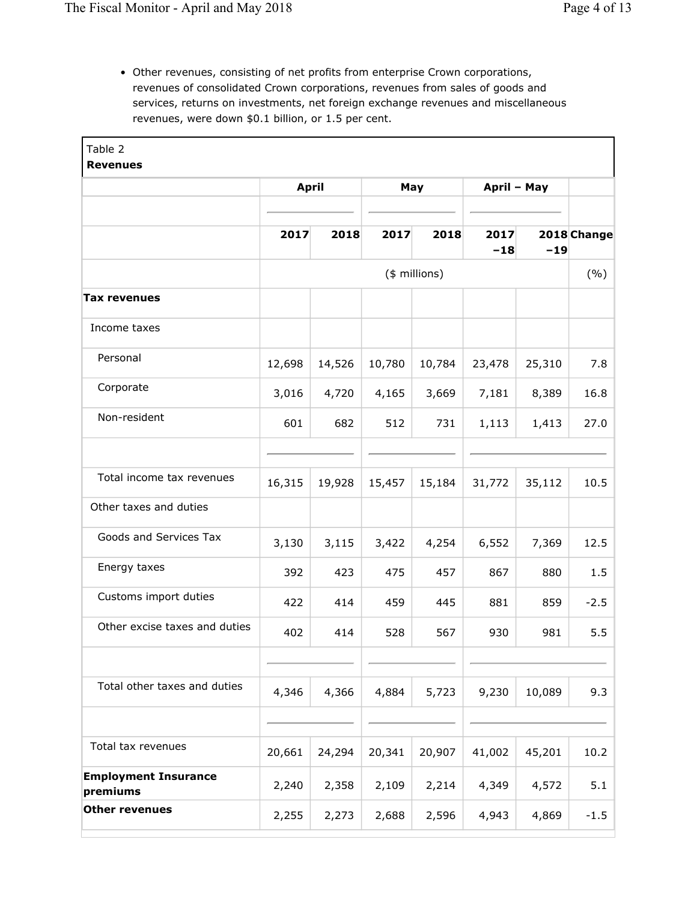• Other revenues, consisting of net profits from enterprise Crown corporations, revenues of consolidated Crown corporations, revenues from sales of goods and services, returns on investments, net foreign exchange revenues and miscellaneous revenues, were down \$0.1 billion, or 1.5 per cent.

| <b>April</b> |        | May    |        | April - May   |        |                |
|--------------|--------|--------|--------|---------------|--------|----------------|
| 2017         | 2018   | 2017   | 2018   | 2017          |        | 2018 Change    |
|              |        |        |        |               |        | (%)            |
|              |        |        |        |               |        |                |
|              |        |        |        |               |        |                |
| 12,698       | 14,526 | 10,780 | 10,784 | 23,478        | 25,310 | 7.8            |
| 3,016        | 4,720  | 4,165  | 3,669  | 7,181         | 8,389  | 16.8           |
| 601          | 682    | 512    | 731    | 1,113         | 1,413  | 27.0           |
|              |        |        |        |               |        |                |
| 16,315       | 19,928 | 15,457 | 15,184 | 31,772        | 35,112 | 10.5           |
|              |        |        |        |               |        |                |
| 3,130        | 3,115  | 3,422  | 4,254  | 6,552         | 7,369  | 12.5           |
| 392          | 423    | 475    | 457    | 867           | 880    | 1.5            |
| 422          | 414    | 459    | 445    | 881           | 859    | $-2.5$         |
| 402          | 414    | 528    | 567    | 930           | 981    | 5.5            |
|              |        |        |        |               |        |                |
| 4,346        | 4,366  | 4,884  | 5,723  | 9,230         | 10,089 | 9.3            |
|              |        |        |        |               |        |                |
| 20,661       | 24,294 | 20,341 | 20,907 | 41,002        | 45,201 | 10.2           |
| 2,240        | 2,358  | 2,109  | 2,214  | 4,349         | 4,572  | 5.1            |
| 2,255        | 2,273  | 2,688  | 2,596  | 4,943         | 4,869  | $-1.5$         |
|              |        |        |        | (\$ millions) |        | $-19$<br>$-18$ |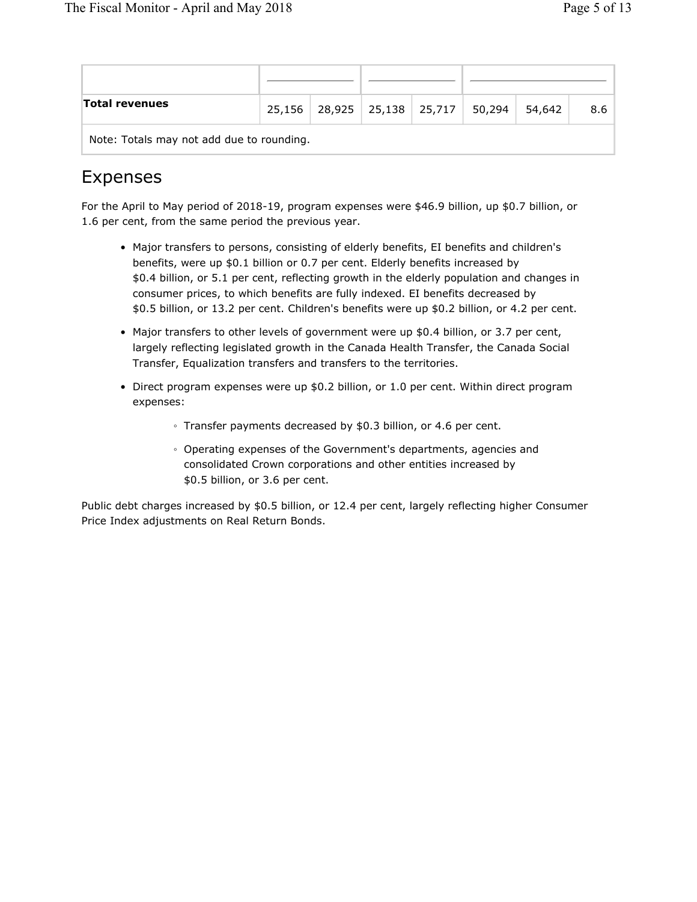| Total revenues                            |  |  |  |  | 25,156   28,925   25,138   25,717   50,294 | 54,642 | 8.6 |  |  |
|-------------------------------------------|--|--|--|--|--------------------------------------------|--------|-----|--|--|
| Note: Totals may not add due to rounding. |  |  |  |  |                                            |        |     |  |  |

#### Expenses

For the April to May period of 2018-19, program expenses were \$46.9 billion, up \$0.7 billion, or 1.6 per cent, from the same period the previous year.

- Major transfers to persons, consisting of elderly benefits, EI benefits and children's benefits, were up \$0.1 billion or 0.7 per cent. Elderly benefits increased by \$0.4 billion, or 5.1 per cent, reflecting growth in the elderly population and changes in consumer prices, to which benefits are fully indexed. EI benefits decreased by \$0.5 billion, or 13.2 per cent. Children's benefits were up \$0.2 billion, or 4.2 per cent.
- Major transfers to other levels of government were up \$0.4 billion, or 3.7 per cent, largely reflecting legislated growth in the Canada Health Transfer, the Canada Social Transfer, Equalization transfers and transfers to the territories.
- Direct program expenses were up \$0.2 billion, or 1.0 per cent. Within direct program expenses:
	- Transfer payments decreased by \$0.3 billion, or 4.6 per cent.
	- Operating expenses of the Government's departments, agencies and consolidated Crown corporations and other entities increased by \$0.5 billion, or 3.6 per cent.

Public debt charges increased by \$0.5 billion, or 12.4 per cent, largely reflecting higher Consumer Price Index adjustments on Real Return Bonds.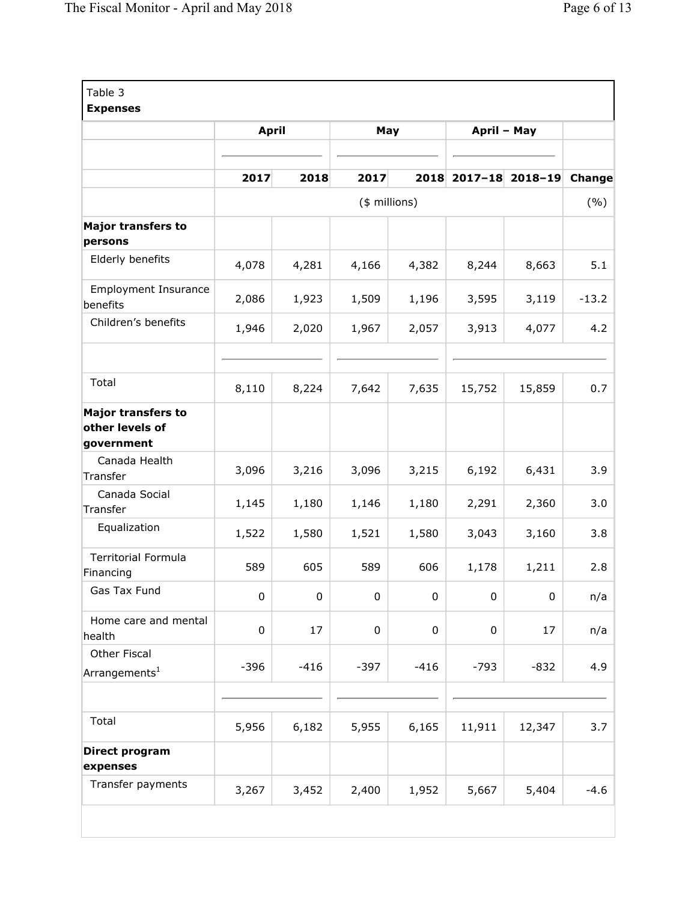|                                                            | <b>April</b> |        | May           |        | April - May     |        |         |
|------------------------------------------------------------|--------------|--------|---------------|--------|-----------------|--------|---------|
|                                                            |              |        |               |        |                 |        |         |
|                                                            | 2017         | 2018   | 2017          | 2018   | 2017-18 2018-19 |        | Change  |
|                                                            |              |        | (\$ millions) |        |                 |        | (%)     |
| <b>Major transfers to</b><br>persons                       |              |        |               |        |                 |        |         |
| Elderly benefits                                           | 4,078        | 4,281  | 4,166         | 4,382  | 8,244           | 8,663  | 5.1     |
| <b>Employment Insurance</b><br>benefits                    | 2,086        | 1,923  | 1,509         | 1,196  | 3,595           | 3,119  | $-13.2$ |
| Children's benefits                                        | 1,946        | 2,020  | 1,967         | 2,057  | 3,913           | 4,077  | 4.2     |
|                                                            |              |        |               |        |                 |        |         |
| Total                                                      | 8,110        | 8,224  | 7,642         | 7,635  | 15,752          | 15,859 | 0.7     |
| <b>Major transfers to</b><br>other levels of<br>government |              |        |               |        |                 |        |         |
| Canada Health<br>Transfer                                  | 3,096        | 3,216  | 3,096         | 3,215  | 6,192           | 6,431  | 3.9     |
| Canada Social<br>Transfer                                  | 1,145        | 1,180  | 1,146         | 1,180  | 2,291           | 2,360  | 3.0     |
| Equalization                                               | 1,522        | 1,580  | 1,521         | 1,580  | 3,043           | 3,160  | 3.8     |
| <b>Territorial Formula</b><br>Financing                    | 589          | 605    | 589           | 606    | 1,178           | 1,211  | 2.8     |
| Gas Tax Fund                                               | 0            | 0      | $\mathbf 0$   | 0      | $\mathbf 0$     | 0      | n/a     |
| Home care and mental<br>health                             | $\pmb{0}$    | 17     | 0             | 0      | $\pmb{0}$       | 17     | n/a     |
| Other Fiscal<br>Arrangements <sup>1</sup>                  | $-396$       | $-416$ | $-397$        | $-416$ | $-793$          | $-832$ | 4.9     |
|                                                            |              |        |               |        |                 |        |         |
| Total                                                      | 5,956        | 6,182  | 5,955         | 6,165  | 11,911          | 12,347 | 3.7     |
| Direct program<br>expenses                                 |              |        |               |        |                 |        |         |
| Transfer payments                                          | 3,267        | 3,452  | 2,400         | 1,952  | 5,667           | 5,404  | $-4.6$  |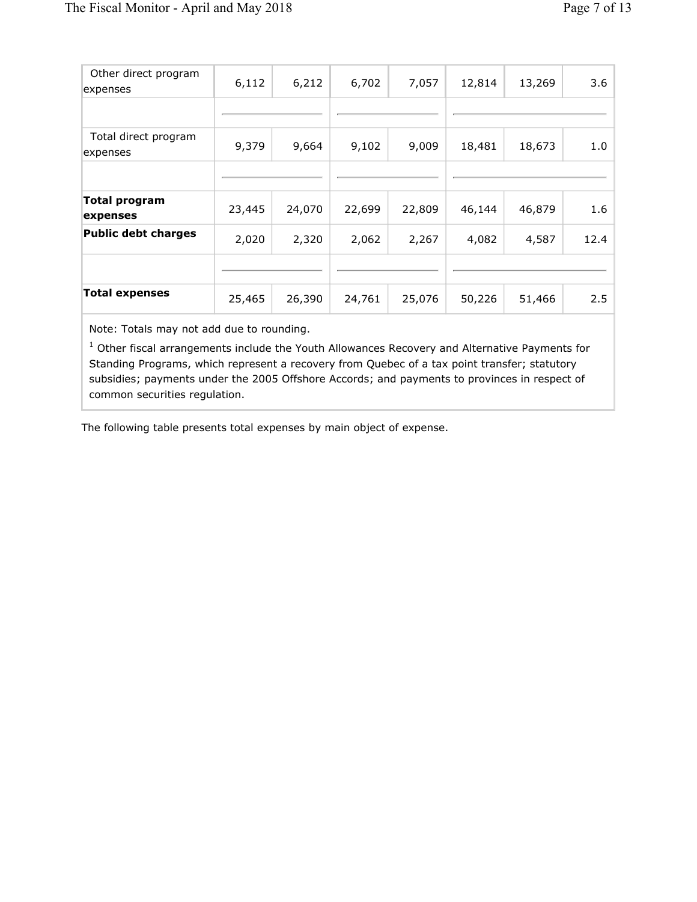| Other direct program<br>expenses | 6,112  | 6,212  | 6,702  | 7,057  | 12,814 | 13,269 | 3.6  |  |
|----------------------------------|--------|--------|--------|--------|--------|--------|------|--|
|                                  |        |        |        |        |        |        |      |  |
| Total direct program<br>expenses | 9,379  | 9,664  | 9,102  | 9,009  | 18,481 | 18,673 | 1.0  |  |
|                                  |        |        |        |        |        |        |      |  |
| <b>Total program</b><br>expenses | 23,445 | 24,070 | 22,699 | 22,809 | 46,144 | 46,879 | 1.6  |  |
| <b>Public debt charges</b>       | 2,020  | 2,320  | 2,062  | 2,267  | 4,082  | 4,587  | 12.4 |  |
|                                  |        |        |        |        |        |        |      |  |
| <b>Total expenses</b>            | 25,465 | 26,390 | 24,761 | 25,076 | 50,226 | 51,466 | 2.5  |  |

Note: Totals may not add due to rounding.

 $1$  Other fiscal arrangements include the Youth Allowances Recovery and Alternative Payments for Standing Programs, which represent a recovery from Quebec of a tax point transfer; statutory subsidies; payments under the 2005 Offshore Accords; and payments to provinces in respect of common securities regulation.

The following table presents total expenses by main object of expense.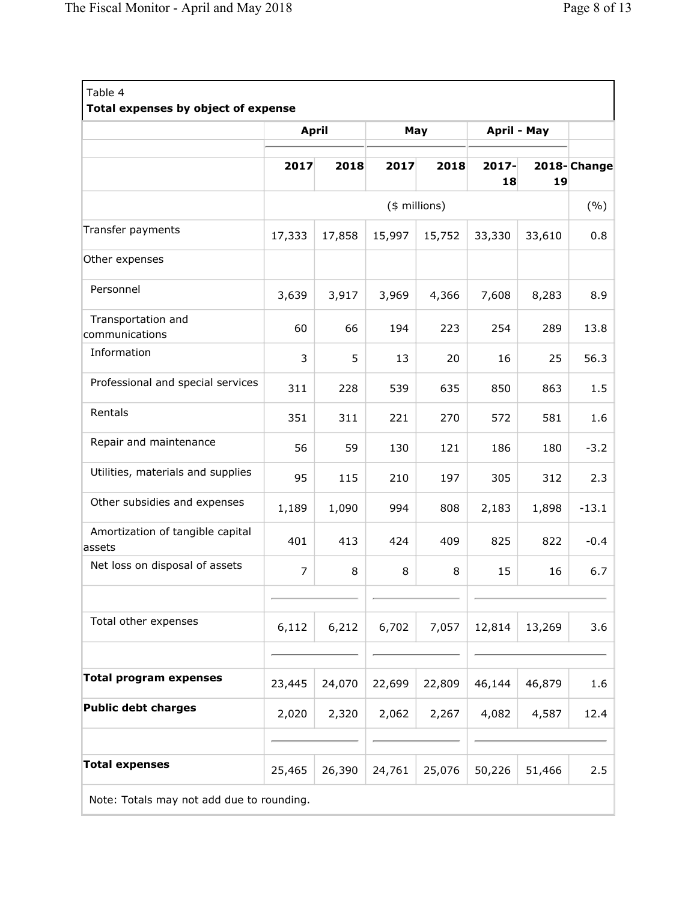|                                            | <b>April</b> |        |        |               |                    |        |             |
|--------------------------------------------|--------------|--------|--------|---------------|--------------------|--------|-------------|
|                                            |              |        | May    |               | <b>April - May</b> |        |             |
|                                            | 2017         | 2018   | 2017   | 2018          | 2017-<br>18        | 19     | 2018-Change |
|                                            |              |        |        | (\$ millions) |                    |        | (%)         |
| Transfer payments                          | 17,333       | 17,858 | 15,997 | 15,752        | 33,330             | 33,610 | 0.8         |
| Other expenses                             |              |        |        |               |                    |        |             |
| Personnel                                  | 3,639        | 3,917  | 3,969  | 4,366         | 7,608              | 8,283  | 8.9         |
| Transportation and<br>communications       | 60           | 66     | 194    | 223           | 254                | 289    | 13.8        |
| Information                                | 3            | 5      | 13     | 20            | 16                 | 25     | 56.3        |
| Professional and special services          | 311          | 228    | 539    | 635           | 850                | 863    | 1.5         |
| Rentals                                    | 351          | 311    | 221    | 270           | 572                | 581    | 1.6         |
| Repair and maintenance                     | 56           | 59     | 130    | 121           | 186                | 180    | $-3.2$      |
| Utilities, materials and supplies          | 95           | 115    | 210    | 197           | 305                | 312    | 2.3         |
| Other subsidies and expenses               | 1,189        | 1,090  | 994    | 808           | 2,183              | 1,898  | $-13.1$     |
| Amortization of tangible capital<br>assets | 401          | 413    | 424    | 409           | 825                | 822    | $-0.4$      |
| Net loss on disposal of assets             | 7            | 8      | 8      | 8             | 15                 | 16     | 6.7         |
|                                            |              |        |        |               |                    |        |             |
| Total other expenses                       | 6,112        | 6,212  | 6,702  | 7,057         | 12,814             | 13,269 | 3.6         |
|                                            |              |        |        |               |                    |        |             |
| <b>Total program expenses</b>              | 23,445       | 24,070 | 22,699 | 22,809        | 46,144             | 46,879 | 1.6         |
| <b>Public debt charges</b>                 | 2,020        | 2,320  | 2,062  | 2,267         | 4,082              | 4,587  | 12.4        |
|                                            |              |        |        |               |                    |        |             |
| <b>Total expenses</b>                      | 25,465       | 26,390 | 24,761 | 25,076        | 50,226             | 51,466 | 2.5         |
| Note: Totals may not add due to rounding.  |              |        |        |               |                    |        |             |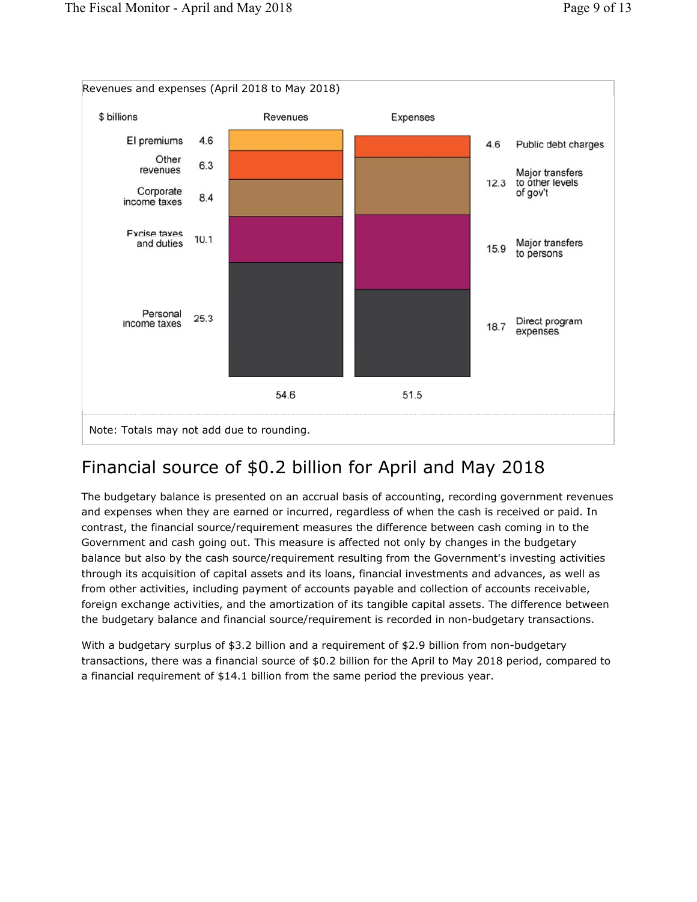

### Financial source of \$0.2 billion for April and May 2018

The budgetary balance is presented on an accrual basis of accounting, recording government revenues and expenses when they are earned or incurred, regardless of when the cash is received or paid. In contrast, the financial source/requirement measures the difference between cash coming in to the Government and cash going out. This measure is affected not only by changes in the budgetary balance but also by the cash source/requirement resulting from the Government's investing activities through its acquisition of capital assets and its loans, financial investments and advances, as well as from other activities, including payment of accounts payable and collection of accounts receivable, foreign exchange activities, and the amortization of its tangible capital assets. The difference between the budgetary balance and financial source/requirement is recorded in non-budgetary transactions.

With a budgetary surplus of \$3.2 billion and a requirement of \$2.9 billion from non-budgetary transactions, there was a financial source of \$0.2 billion for the April to May 2018 period, compared to a financial requirement of \$14.1 billion from the same period the previous year.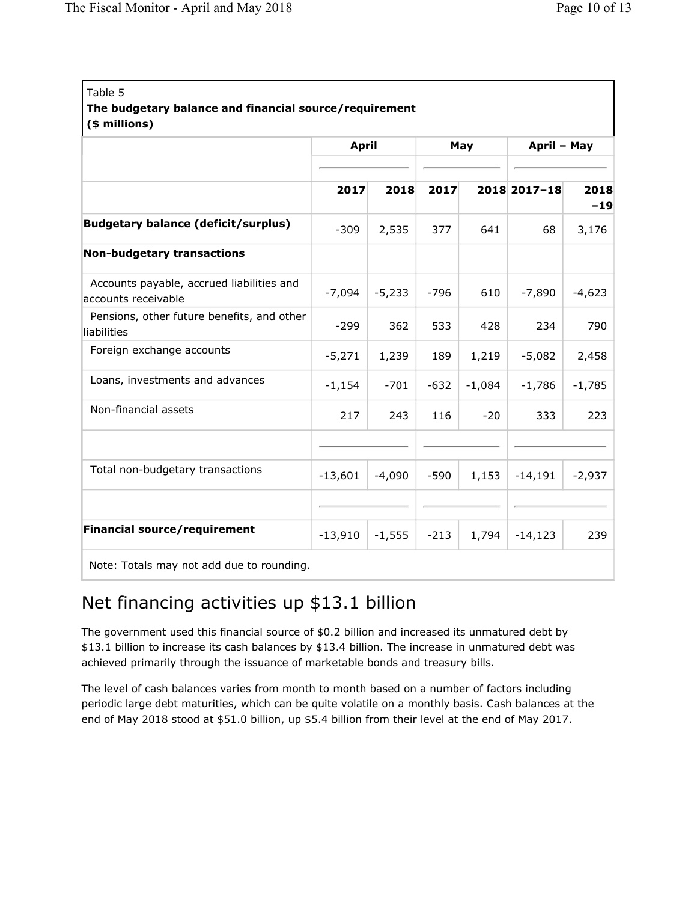|                                                                  | <b>April</b> |          | May    |          | April - May  |               |
|------------------------------------------------------------------|--------------|----------|--------|----------|--------------|---------------|
|                                                                  | 2017         | 2018     | 2017   |          | 2018 2017-18 | 2018<br>$-19$ |
| <b>Budgetary balance (deficit/surplus)</b>                       | $-309$       | 2,535    | 377    | 641      | 68           | 3,176         |
| <b>Non-budgetary transactions</b>                                |              |          |        |          |              |               |
| Accounts payable, accrued liabilities and<br>accounts receivable | $-7,094$     | $-5,233$ | $-796$ | 610      | $-7,890$     | $-4,623$      |
| Pensions, other future benefits, and other<br>liabilities        | $-299$       | 362      | 533    | 428      | 234          | 790           |
| Foreign exchange accounts                                        | $-5,271$     | 1,239    | 189    | 1,219    | $-5,082$     | 2,458         |
| Loans, investments and advances                                  | $-1,154$     | $-701$   | $-632$ | $-1,084$ | $-1,786$     | $-1,785$      |
| Non-financial assets                                             | 217          | 243      | 116    | $-20$    | 333          | 223           |
|                                                                  |              |          |        |          |              |               |
| Total non-budgetary transactions                                 | $-13,601$    | $-4,090$ | -590   | 1,153    | $-14,191$    | $-2,937$      |
|                                                                  |              |          |        |          |              |               |
| <b>Financial source/requirement</b>                              | $-13,910$    | $-1,555$ | $-213$ | 1,794    | $-14,123$    | 239           |

## Net financing activities up \$13.1 billion

The government used this financial source of \$0.2 billion and increased its unmatured debt by \$13.1 billion to increase its cash balances by \$13.4 billion. The increase in unmatured debt was achieved primarily through the issuance of marketable bonds and treasury bills.

The level of cash balances varies from month to month based on a number of factors including periodic large debt maturities, which can be quite volatile on a monthly basis. Cash balances at the end of May 2018 stood at \$51.0 billion, up \$5.4 billion from their level at the end of May 2017.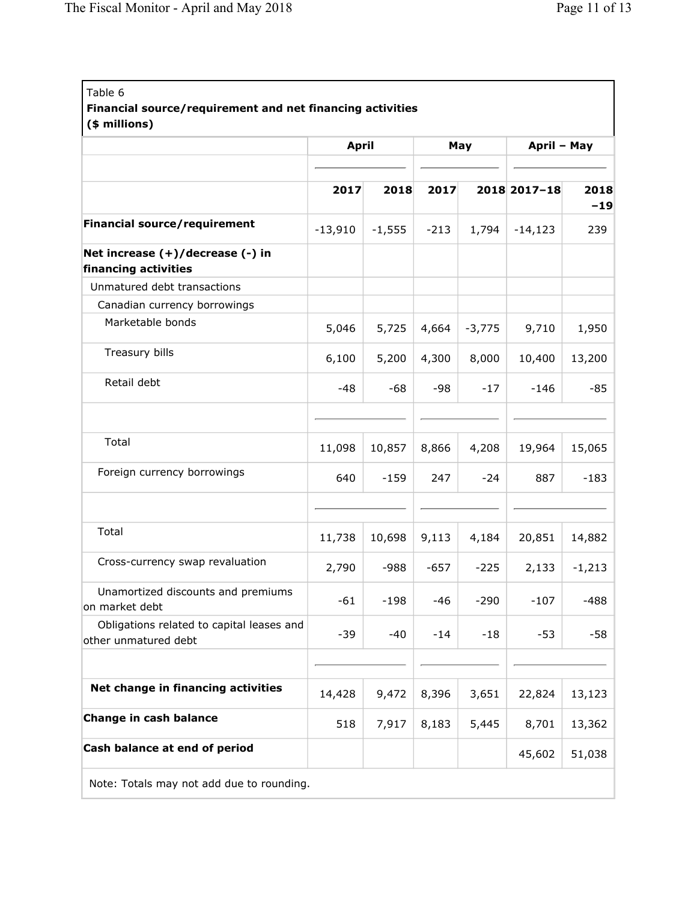| Table 6<br>Financial source/requirement and net financing activities<br>(\$ millions) |              |          |        |          |              |               |
|---------------------------------------------------------------------------------------|--------------|----------|--------|----------|--------------|---------------|
|                                                                                       | <b>April</b> |          | May    |          | April - May  |               |
|                                                                                       | 2017         | 2018     | 2017   |          | 2018 2017-18 | 2018<br>$-19$ |
| <b>Financial source/requirement</b>                                                   | $-13,910$    | $-1,555$ | $-213$ | 1,794    | $-14,123$    | 239           |
| Net increase (+)/decrease (-) in<br>financing activities                              |              |          |        |          |              |               |
| Unmatured debt transactions                                                           |              |          |        |          |              |               |
| Canadian currency borrowings                                                          |              |          |        |          |              |               |
| Marketable bonds                                                                      | 5,046        | 5,725    | 4,664  | $-3,775$ | 9,710        | 1,950         |
| Treasury bills                                                                        | 6,100        | 5,200    | 4,300  | 8,000    | 10,400       | 13,200        |
| Retail debt                                                                           | $-48$        | $-68$    | $-98$  | $-17$    | $-146$       | $-85$         |
|                                                                                       |              |          |        |          |              |               |
| Total                                                                                 | 11,098       | 10,857   | 8,866  | 4,208    | 19,964       | 15,065        |
| Foreign currency borrowings                                                           | 640          | $-159$   | 247    | $-24$    | 887          | $-183$        |
|                                                                                       |              |          |        |          |              |               |
| Total                                                                                 | 11,738       | 10,698   | 9,113  | 4,184    | 20,851       | 14,882        |
| Cross-currency swap revaluation                                                       | 2,790        | $-988$   | $-657$ | $-225$   | 2,133        | $-1,213$      |
| Unamortized discounts and premiums<br>on market debt                                  | $-61$        | $-198$   | $-46$  | $-290$   | $-107$       | $-488$        |
| Obligations related to capital leases and<br>other unmatured debt                     | -39          | -40      | $-14$  | $-18$    | -53          | -58           |
|                                                                                       |              |          |        |          |              |               |
| Net change in financing activities                                                    | 14,428       | 9,472    | 8,396  | 3,651    | 22,824       | 13,123        |
| Change in cash balance                                                                | 518          | 7,917    | 8,183  | 5,445    | 8,701        | 13,362        |
| Cash balance at end of period                                                         |              |          |        |          | 45,602       | 51,038        |
| Note: Totals may not add due to rounding.                                             |              |          |        |          |              |               |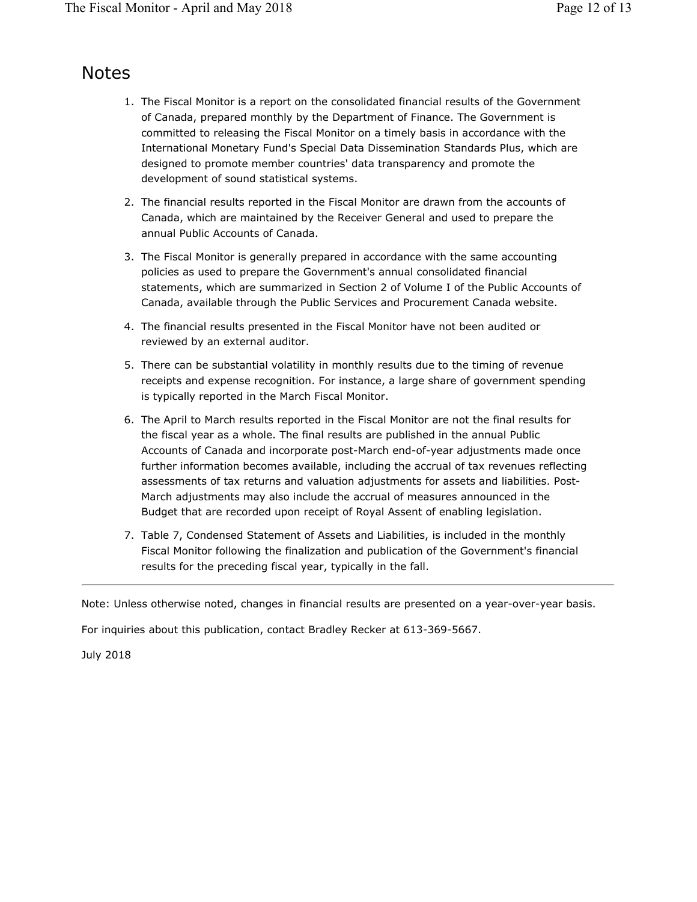#### Notes

- 1. The Fiscal Monitor is a report on the consolidated financial results of the Government of Canada, prepared monthly by the Department of Finance. The Government is committed to releasing the Fiscal Monitor on a timely basis in accordance with the International Monetary Fund's Special Data Dissemination Standards Plus, which are designed to promote member countries' data transparency and promote the development of sound statistical systems.
- 2. The financial results reported in the Fiscal Monitor are drawn from the accounts of Canada, which are maintained by the Receiver General and used to prepare the annual Public Accounts of Canada.
- 3. The Fiscal Monitor is generally prepared in accordance with the same accounting policies as used to prepare the Government's annual consolidated financial statements, which are summarized in Section 2 of Volume I of the Public Accounts of Canada, available through the Public Services and Procurement Canada website.
- 4. The financial results presented in the Fiscal Monitor have not been audited or reviewed by an external auditor.
- 5. There can be substantial volatility in monthly results due to the timing of revenue receipts and expense recognition. For instance, a large share of government spending is typically reported in the March Fiscal Monitor.
- 6. The April to March results reported in the Fiscal Monitor are not the final results for the fiscal year as a whole. The final results are published in the annual Public Accounts of Canada and incorporate post-March end-of-year adjustments made once further information becomes available, including the accrual of tax revenues reflecting assessments of tax returns and valuation adjustments for assets and liabilities. Post-March adjustments may also include the accrual of measures announced in the Budget that are recorded upon receipt of Royal Assent of enabling legislation.
- 7. Table 7, Condensed Statement of Assets and Liabilities, is included in the monthly Fiscal Monitor following the finalization and publication of the Government's financial results for the preceding fiscal year, typically in the fall.

Note: Unless otherwise noted, changes in financial results are presented on a year-over-year basis.

For inquiries about this publication, contact Bradley Recker at 613-369-5667.

July 2018